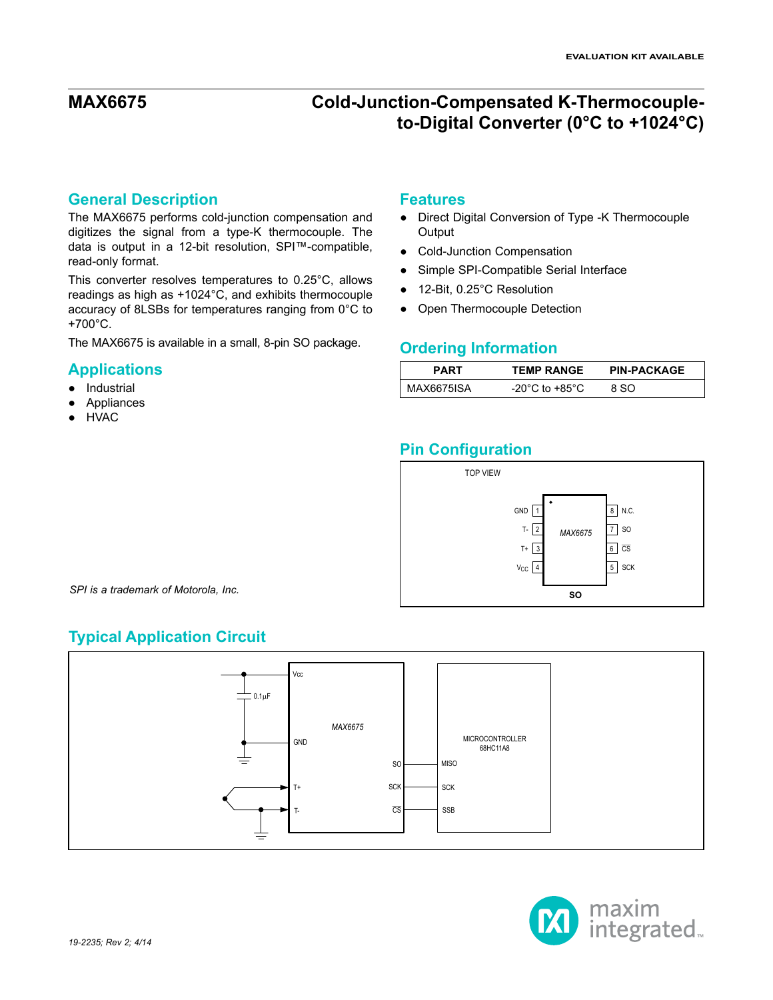### **General Description**

The MAX6675 performs cold-junction compensation and digitizes the signal from a type-K thermocouple. The data is output in a 12-bit resolution, SPI™-compatible, read-only format.

This converter resolves temperatures to 0.25°C, allows readings as high as +1024°C, and exhibits thermocouple accuracy of 8LSBs for temperatures ranging from 0°C to +700°C.

The MAX6675 is available in a small, 8-pin SO package.

### **Applications**

- Industrial
- Appliances
- **HVAC**

### **Features**

- Direct Digital Conversion of Type -K Thermocouple Output
- Cold-Junction Compensation
- Simple SPI-Compatible Serial Interface
- 12-Bit, 0.25°C Resolution
- Open Thermocouple Detection

### **Ordering Information**

| <b>PART</b> | <b>TEMP RANGE</b>                    | <b>PIN-PACKAGE</b> |
|-------------|--------------------------------------|--------------------|
| MAX6675ISA  | -20 $^{\circ}$ C to +85 $^{\circ}$ C | 8.SO               |

## **Pin Configuration**



*SPI is a trademark of Motorola, Inc.*

## **Typical Application Circuit**



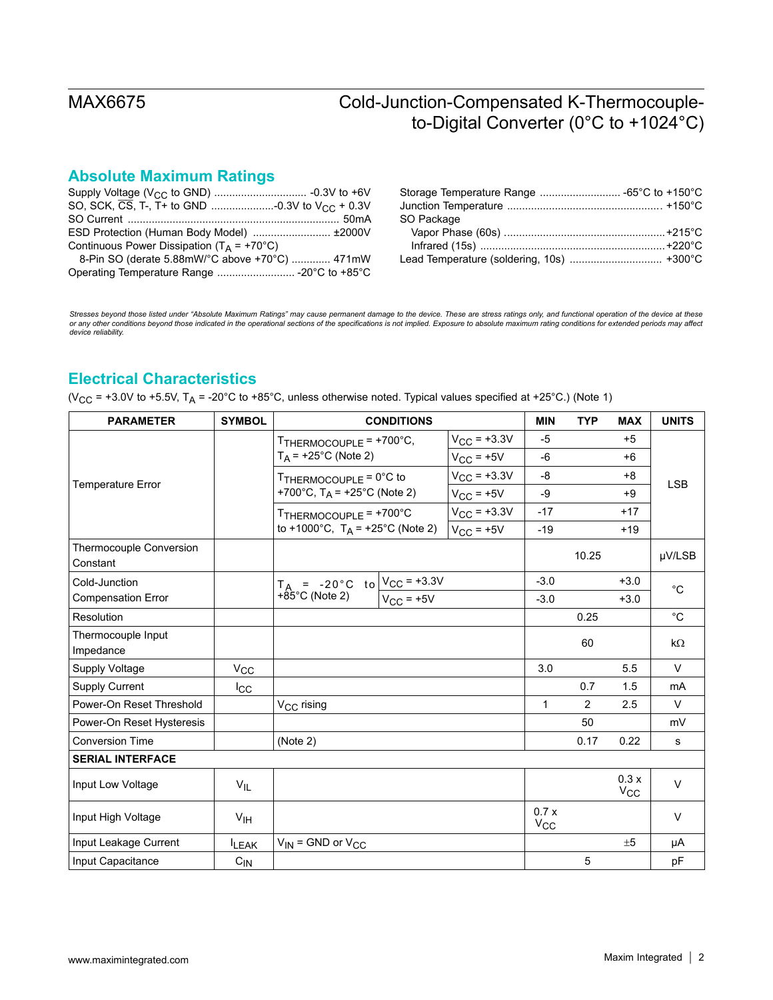# **Absolute Maximum Ratings**

| ESD Protection (Human Body Model)  ±2000V      |  |
|------------------------------------------------|--|
| Continuous Power Dissipation ( $T_A$ = +70°C)  |  |
| 8-Pin SO (derate 5.88mW/°C above +70°C)  471mW |  |
|                                                |  |
|                                                |  |

| SO Package |  |
|------------|--|
|            |  |
|            |  |
|            |  |
|            |  |

Stresses beyond those listed under "Absolute Maximum Ratings" may cause permanent damage to the device. These are stress ratings only, and functional operation of the device at these<br>or any other conditions beyond those in *device reliability.*

## **Electrical Characteristics**

(V<sub>CC</sub> = +3.0V to +5.5V, T<sub>A</sub> = -20°C to +85°C, unless otherwise noted. Typical values specified at +25°C.) (Note 1)

| <b>PARAMETER</b>                    | <b>SYMBOL</b>   |                                                                 | <b>CONDITIONS</b> | <b>MIN</b>              | <b>TYP</b>       | <b>MAX</b>     | <b>UNITS</b>         |              |
|-------------------------------------|-----------------|-----------------------------------------------------------------|-------------------|-------------------------|------------------|----------------|----------------------|--------------|
|                                     |                 | TTHERMOCOUPLE = +700°C,                                         |                   | $V_{\rm CC} = +3.3V$    | $-5$             |                | $+5$                 |              |
|                                     |                 | $T_A$ = +25°C (Note 2)                                          |                   | $V_{CC}$ = +5V          | -6               |                | $+6$                 | <b>LSB</b>   |
|                                     |                 | TTHERMOCOUPLE = 0°C to                                          |                   | $V_{\text{CC}} = +3.3V$ | -8               |                | $+8$                 |              |
| Temperature Error                   |                 | +700°C, $T_A$ = +25°C (Note 2)                                  |                   | $V_{CC}$ = +5V          | -9               |                | $+9$                 |              |
|                                     |                 | TTHERMOCOUPLE = +700°C                                          |                   | $V_{CC}$ = +3.3V        | $-17$            |                | $+17$                |              |
|                                     |                 | to +1000°C, $T_A$ = +25°C (Note 2)                              |                   | $V_{CC}$ = +5V          | $-19$            |                | $+19$                |              |
| Thermocouple Conversion<br>Constant |                 |                                                                 |                   |                         |                  | 10.25          |                      | µV/LSB       |
| Cold-Junction                       |                 |                                                                 |                   |                         | $-3.0$           |                | $+3.0$               |              |
| <b>Compensation Error</b>           |                 | T <sub>A</sub> = -20°C to $\frac{V_{CC} = +3.3V}{V_{CC} = +5V}$ |                   |                         | $-3.0$           |                | $+3.0$               | $^{\circ}C$  |
| Resolution                          |                 |                                                                 |                   |                         |                  | 0.25           |                      | $^{\circ}$ C |
| Thermocouple Input                  |                 |                                                                 |                   |                         |                  | 60             |                      | $k\Omega$    |
| Impedance                           |                 |                                                                 |                   |                         |                  |                |                      |              |
| Supply Voltage                      | $V_{\rm CC}$    |                                                                 |                   |                         | 3.0              |                | 5.5                  | $\vee$       |
| <b>Supply Current</b>               | $I_{\rm CC}$    |                                                                 |                   |                         |                  | 0.7            | 1.5                  | mA           |
| Power-On Reset Threshold            |                 | V <sub>CC</sub> rising                                          |                   |                         | $\mathbf{1}$     | $\overline{2}$ | 2.5                  | $\vee$       |
| Power-On Reset Hysteresis           |                 |                                                                 |                   |                         |                  | 50             |                      | mV           |
| <b>Conversion Time</b>              |                 | (Note 2)                                                        |                   |                         |                  | 0.17           | 0.22                 | s            |
| <b>SERIAL INTERFACE</b>             |                 |                                                                 |                   |                         |                  |                |                      |              |
| Input Low Voltage                   | $V_{IL}$        |                                                                 |                   |                         |                  |                | 0.3x<br>$V_{\rm CC}$ | $\vee$       |
| Input High Voltage                  | $V_{\text{IH}}$ |                                                                 |                   |                         | 0.7x<br>$V_{CC}$ |                |                      | $\vee$       |
| Input Leakage Current               | <b>ILEAK</b>    | $V_{IN}$ = GND or $V_{CC}$                                      |                   |                         |                  |                | ±5                   | μA           |
| Input Capacitance                   | $C_{\text{IN}}$ |                                                                 |                   |                         |                  | 5              |                      | pF           |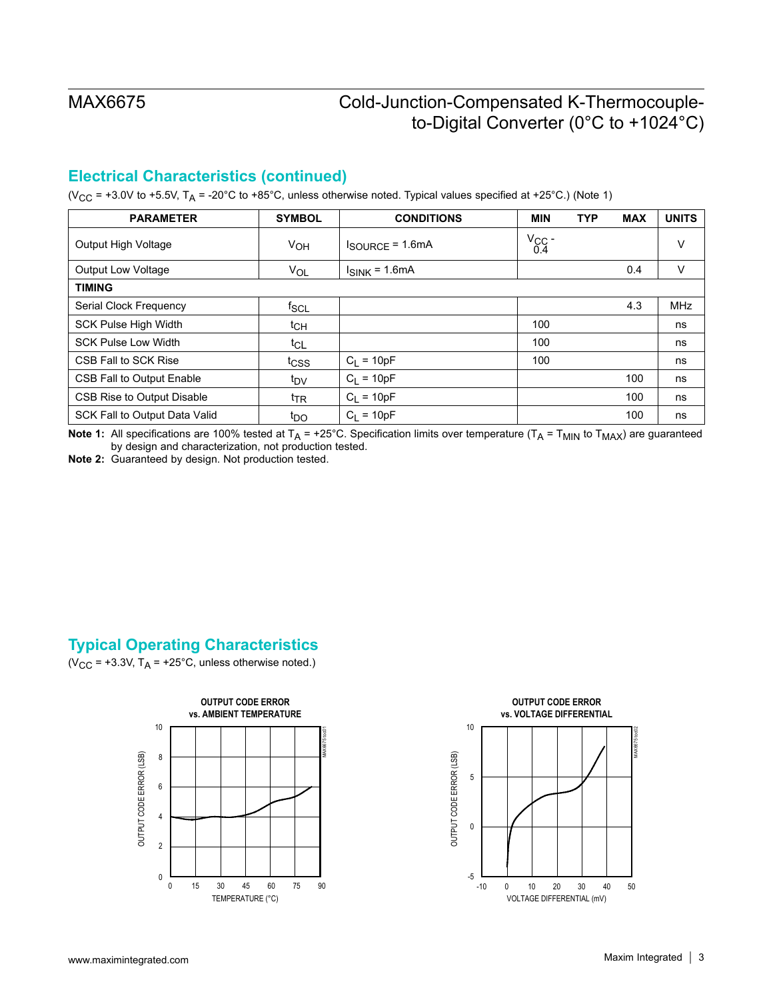## **Electrical Characteristics (continued)**

(V<sub>CC</sub> = +3.0V to +5.5V, T<sub>A</sub> = -20°C to +85°C, unless otherwise noted. Typical values specified at +25°C.) (Note 1)

| <b>PARAMETER</b>                  | <b>SYMBOL</b>   | <b>CONDITIONS</b>                   | <b>MIN</b>         | <b>TYP</b> | <b>MAX</b> | <b>UNITS</b> |
|-----------------------------------|-----------------|-------------------------------------|--------------------|------------|------------|--------------|
| Output High Voltage               | V <sub>OH</sub> | $I_{\text{SOURCE}} = 1.6 \text{mA}$ | $V_{\rm CC}$ - 0.4 |            |            | v            |
| <b>Output Low Voltage</b>         | VOL             | $I_{SINK}$ = 1.6mA                  |                    |            | 0.4        | v            |
| <b>TIMING</b>                     |                 |                                     |                    |            |            |              |
| Serial Clock Frequency            | $f_{SCL}$       |                                     |                    |            | 4.3        | <b>MHz</b>   |
| <b>SCK Pulse High Width</b>       | $t_{CH}$        |                                     | 100                |            |            | ns           |
| <b>SCK Pulse Low Width</b>        | $t_{CL}$        |                                     | 100                |            |            | ns           |
| CSB Fall to SCK Rise              | tcss            | $C_1 = 10pF$                        | 100                |            |            | ns           |
| CSB Fall to Output Enable         | t <sub>DV</sub> | $C_1 = 10pF$                        |                    |            | 100        | ns           |
| <b>CSB Rise to Output Disable</b> | $t_{TR}$        | $C_1 = 10pF$                        |                    |            | 100        | ns           |
| SCK Fall to Output Data Valid     | t <sub>DO</sub> | $C_1 = 10pF$                        |                    |            | 100        | ns           |

**Note 1:** All specifications are 100% tested at  $T_A$  = +25°C. Specification limits over temperature ( $T_A$  =  $T_{MIN}$  to  $T_{MAX}$ ) are guaranteed by design and characterization, not production tested.

**Note 2:** Guaranteed by design. Not production tested.

## **Typical Operating Characteristics**

( $V_{CC}$  = +3.3V, T<sub>A</sub> = +25°C, unless otherwise noted.)



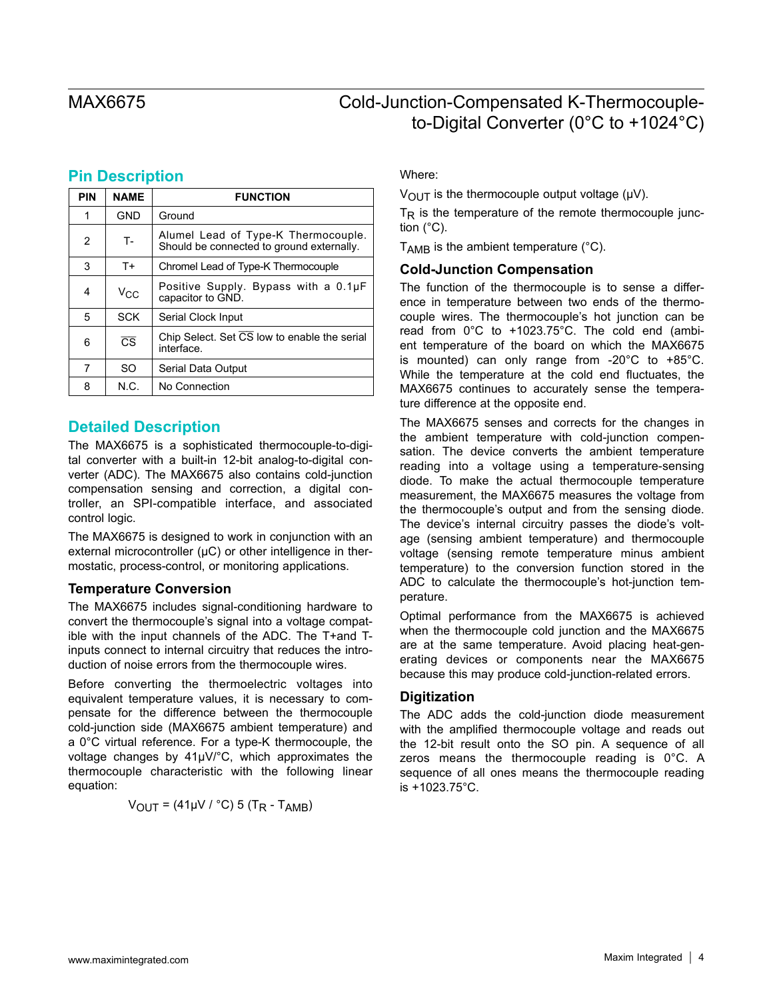## **Pin Description**

| PIN | <b>NAME</b>            | <b>FUNCTION</b>                                                                  |
|-----|------------------------|----------------------------------------------------------------------------------|
| 1   | <b>GND</b>             | Ground                                                                           |
| 2   | $T -$                  | Alumel Lead of Type-K Thermocouple.<br>Should be connected to ground externally. |
| 3   | $T+$                   | Chromel Lead of Type-K Thermocouple                                              |
| 4   | Vcc                    | Positive Supply. Bypass with a 0.1µF<br>capacitor to GND.                        |
| 5   | <b>SCK</b>             | Serial Clock Input                                                               |
| 6   | $\overline{\text{CS}}$ | Chip Select. Set CS low to enable the serial<br>interface.                       |
| 7   | SO                     | Serial Data Output                                                               |
| 8   | N.C.                   | No Connection                                                                    |

## **Detailed Description**

The MAX6675 is a sophisticated thermocouple-to-digital converter with a built-in 12-bit analog-to-digital converter (ADC). The MAX6675 also contains cold-junction compensation sensing and correction, a digital controller, an SPI-compatible interface, and associated control logic.

The MAX6675 is designed to work in conjunction with an external microcontroller  $(\mu C)$  or other intelligence in thermostatic, process-control, or monitoring applications.

### **Temperature Conversion**

The MAX6675 includes signal-conditioning hardware to convert the thermocouple's signal into a voltage compatible with the input channels of the ADC. The T+and Tinputs connect to internal circuitry that reduces the introduction of noise errors from the thermocouple wires.

Before converting the thermoelectric voltages into equivalent temperature values, it is necessary to compensate for the difference between the thermocouple cold-junction side (MAX6675 ambient temperature) and a 0°C virtual reference. For a type-K thermocouple, the voltage changes by 41µV/°C, which approximates the thermocouple characteristic with the following linear equation:

$$
V_{OUT} = (41 \mu V / °C) 5 (T_R - T_{AMB})
$$

Where:

 $V_{\text{OUT}}$  is the thermocouple output voltage ( $\mu$ V).

 $T_R$  is the temperature of the remote thermocouple junction (°C).

 $T_{AMB}$  is the ambient temperature ( $°C$ ).

### **Cold-Junction Compensation**

The function of the thermocouple is to sense a difference in temperature between two ends of the thermocouple wires. The thermocouple's hot junction can be read from 0°C to +1023.75°C. The cold end (ambient temperature of the board on which the MAX6675 is mounted) can only range from -20°C to +85°C. While the temperature at the cold end fluctuates, the MAX6675 continues to accurately sense the temperature difference at the opposite end.

The MAX6675 senses and corrects for the changes in the ambient temperature with cold-junction compensation. The device converts the ambient temperature reading into a voltage using a temperature-sensing diode. To make the actual thermocouple temperature measurement, the MAX6675 measures the voltage from the thermocouple's output and from the sensing diode. The device's internal circuitry passes the diode's voltage (sensing ambient temperature) and thermocouple voltage (sensing remote temperature minus ambient temperature) to the conversion function stored in the ADC to calculate the thermocouple's hot-junction temperature.

Optimal performance from the MAX6675 is achieved when the thermocouple cold junction and the MAX6675 are at the same temperature. Avoid placing heat-generating devices or components near the MAX6675 because this may produce cold-junction-related errors.

### **Digitization**

The ADC adds the cold-junction diode measurement with the amplified thermocouple voltage and reads out the 12-bit result onto the SO pin. A sequence of all zeros means the thermocouple reading is 0°C. A sequence of all ones means the thermocouple reading is +1023.75°C.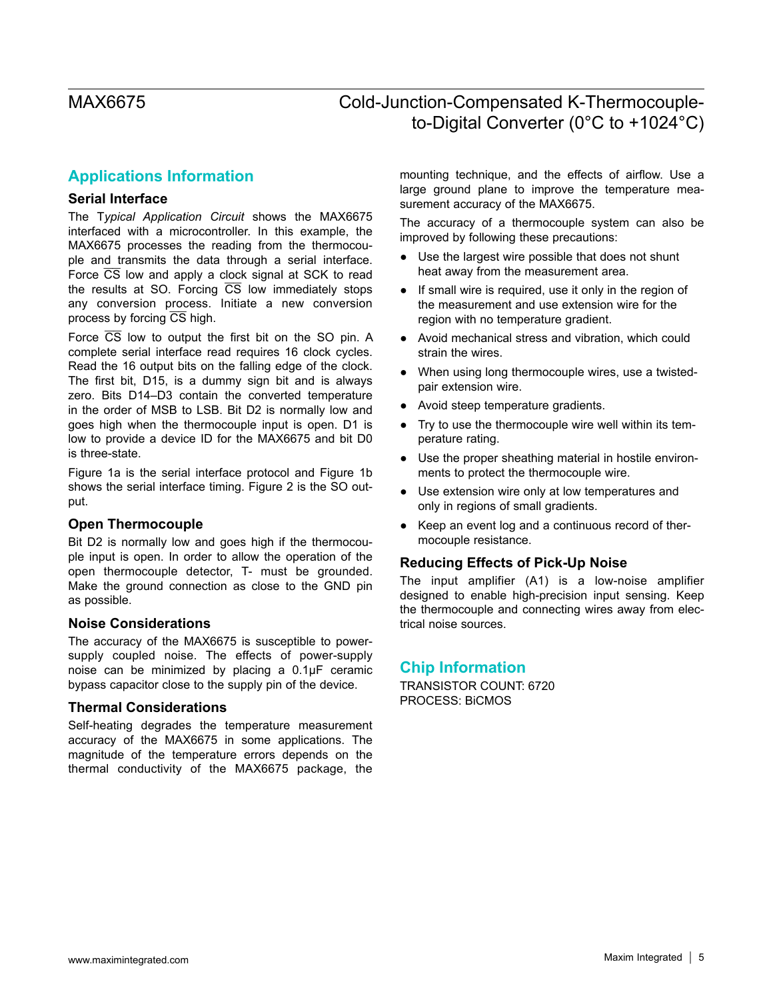## **Applications Information**

### **Serial Interface**

The T*ypical Application Circuit* shows the MAX6675 interfaced with a microcontroller. In this example, the MAX6675 processes the reading from the thermocouple and transmits the data through a serial interface. Force  $\overline{CS}$  low and apply a clock signal at SCK to read the results at SO. Forcing  $\overline{CS}$  low immediately stops any conversion process. Initiate a new conversion process by forcing  $\overline{CS}$  high.

Force CS low to output the first bit on the SO pin. A complete serial interface read requires 16 clock cycles. Read the 16 output bits on the falling edge of the clock. The first bit, D15, is a dummy sign bit and is always zero. Bits D14–D3 contain the converted temperature in the order of MSB to LSB. Bit D2 is normally low and goes high when the thermocouple input is open. D1 is low to provide a device ID for the MAX6675 and bit D0 is three-state.

Figure 1a is the serial interface protocol and Figure 1b shows the serial interface timing. Figure 2 is the SO output.

#### **Open Thermocouple**

Bit D2 is normally low and goes high if the thermocouple input is open. In order to allow the operation of the open thermocouple detector, T- must be grounded. Make the ground connection as close to the GND pin as possible.

#### **Noise Considerations**

The accuracy of the MAX6675 is susceptible to powersupply coupled noise. The effects of power-supply noise can be minimized by placing a 0.1µF ceramic bypass capacitor close to the supply pin of the device.

#### **Thermal Considerations**

Self-heating degrades the temperature measurement accuracy of the MAX6675 in some applications. The magnitude of the temperature errors depends on the thermal conductivity of the MAX6675 package, the

mounting technique, and the effects of airflow. Use a large ground plane to improve the temperature measurement accuracy of the MAX6675.

The accuracy of a thermocouple system can also be improved by following these precautions:

- Use the largest wire possible that does not shunt heat away from the measurement area.
- If small wire is required, use it only in the region of the measurement and use extension wire for the region with no temperature gradient.
- Avoid mechanical stress and vibration, which could strain the wires.
- When using long thermocouple wires, use a twistedpair extension wire.
- Avoid steep temperature gradients.
- Try to use the thermocouple wire well within its temperature rating.
- Use the proper sheathing material in hostile environments to protect the thermocouple wire.
- Use extension wire only at low temperatures and only in regions of small gradients.
- Keep an event log and a continuous record of thermocouple resistance.

### **Reducing Effects of Pick-Up Noise**

The input amplifier (A1) is a low-noise amplifier designed to enable high-precision input sensing. Keep the thermocouple and connecting wires away from electrical noise sources.

### **Chip Information**

TRANSISTOR COUNT: 6720 PROCESS: BiCMOS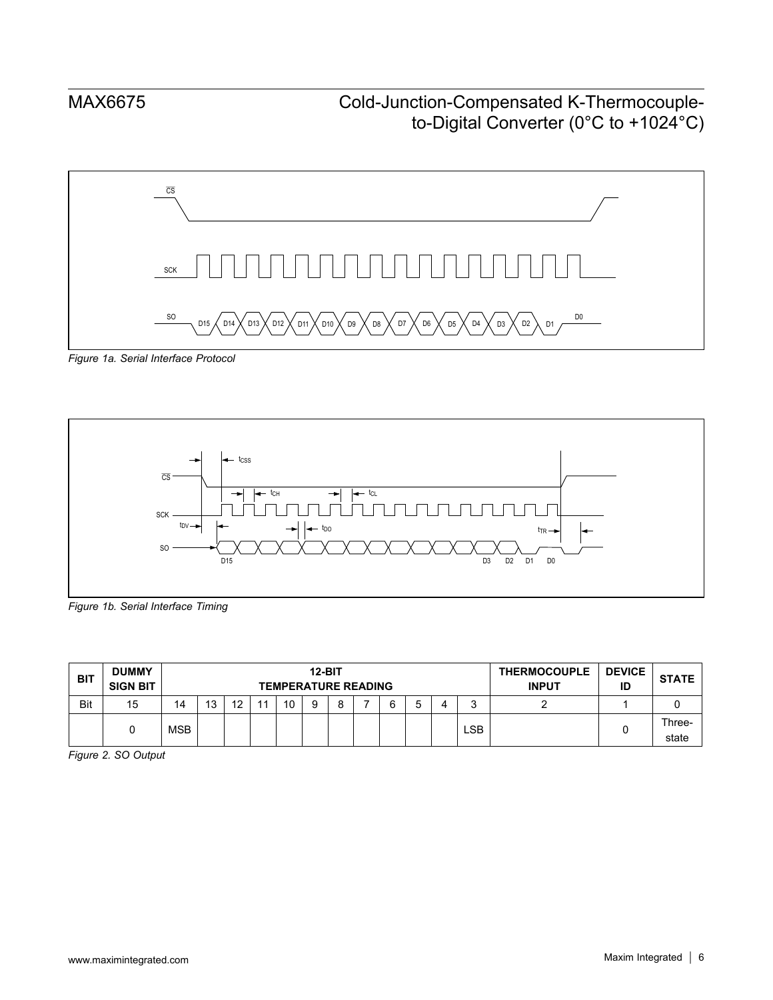

*Figure 1a. Serial Interface Protocol*



*Figure 1b. Serial Interface Timing*

| <b>BIT</b> | <b>DUMMY</b><br><b>SIGN BIT</b> |            | <b>12-BIT</b><br><b>TEMPERATURE READING</b> |         |    |    |   |   |  |  | <b>THERMOCOUPLE</b><br><b>INPUT</b> | <b>DEVICE</b><br>ID | <b>STATE</b> |  |                 |
|------------|---------------------------------|------------|---------------------------------------------|---------|----|----|---|---|--|--|-------------------------------------|---------------------|--------------|--|-----------------|
| Bit        | 15                              | 14         | 13                                          | 12<br>L | 44 | 10 | a | Q |  |  |                                     |                     |              |  |                 |
|            |                                 | <b>MSB</b> |                                             |         |    |    |   |   |  |  |                                     | ∟SB                 |              |  | Three-<br>state |

*Figure 2. SO Output*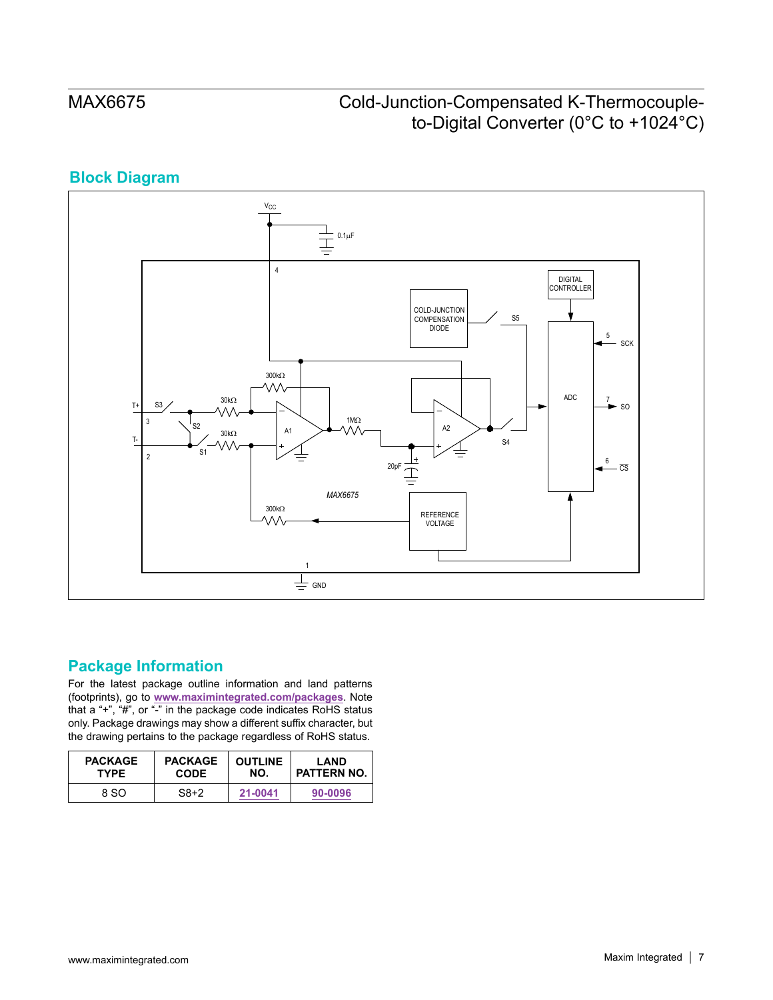# **Block Diagram**



### **Package Information**

For the latest package outline information and land patterns (footprints), go to **[www.maximintegrated.com/packages](http://www.maximintegrated.com/packages)**. Note that a "+", "#", or "-" in the package code indicates RoHS status only. Package drawings may show a different suffix character, but the drawing pertains to the package regardless of RoHS status.

| <b>PACKAGE</b> | <b>PACKAGE</b> | <b>OUTLINE</b> | LAND        |
|----------------|----------------|----------------|-------------|
| <b>TYPE</b>    | <b>CODE</b>    | NO.            | PATTERN NO. |
| 8 SO           | $S8+2$         | 21-0041        | 90-0096     |